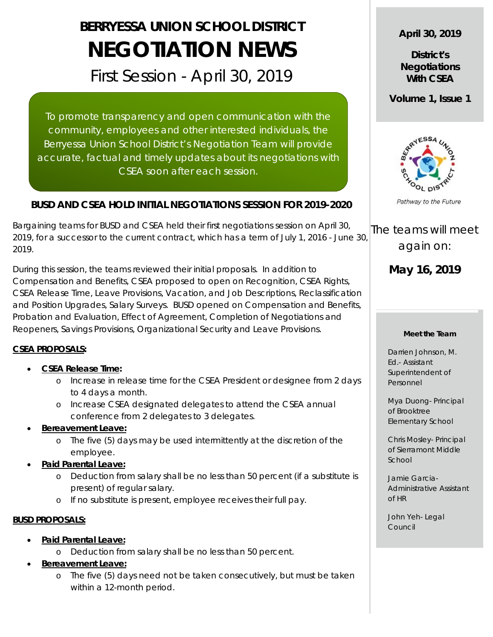# **BERRYESSA UNION SCHOOL DISTRICT NEGOTIATION NEWS**

First Session - April 30, 2019

To promote transparency and open communication with the community, employees and other interested individuals, the Berryessa Union School District's Negotiation Team will provide accurate, factual and timely updates about its negotiations with CSEA soon after each session.

# **BUSD AND CSEA HOLD INITIAL NEGOTIATIONS SESSION FOR 2019-2020**

Bargaining teams for BUSD and CSEA held their first negotiations session on April 30, 2019, for a successor to the current contract, which has a term of July 1, 2016 - June 30, 2019.

During this session, the teams reviewed their initial proposals. In addition to Compensation and Benefits, CSEA proposed to open on Recognition, CSEA Rights, CSEA Release Time, Leave Provisions, Vacation, and Job Descriptions, Reclassification and Position Upgrades, Salary Surveys. BUSD opened on Compensation and Benefits, Probation and Evaluation, Effect of Agreement, Completion of Negotiations and Reopeners, Savings Provisions, Organizational Security and Leave Provisions.

### **CSEA PROPOSALS:**

- **CSEA Release Time:**
	- o Increase in release time for the CSEA President or designee from 2 days to 4 days a month.
	- o Increase CSEA designated delegates to attend the CSEA annual conference from 2 delegates to 3 delegates.
- **Bereavement Leave:**
	- o The five (5) days may be used intermittently at the discretion of the employee.
- **Paid Parental Leave:**
	- o Deduction from salary shall be no less than 50 percent (if a substitute is present) of regular salary.
	- o If no substitute is present, employee receives their full pay.

# **BUSD PROPOSALS:**

- **Paid Parental Leave:**
	- o Deduction from salary shall be no less than 50 percent.
- **Bereavement Leave:**
	- o The five (5) days need not be taken consecutively, but must be taken within a 12-month period.

**April 30, 2019**

**District's Negotiations With CSEA**

**Volume 1, Issue 1**



Pathway to the Future

The teams will meet again on:

**May 16, 2019**

#### **Meet the Team**

Darrien Johnson, M. Ed.- Assistant Superintendent of Personnel

Mya Duong- Principal of Brooktree Elementary School

Chris Mosley- Principal of Sierramont Middle School

Jamie Garcia-Administrative Assistant of HR

John Yeh- Legal Council